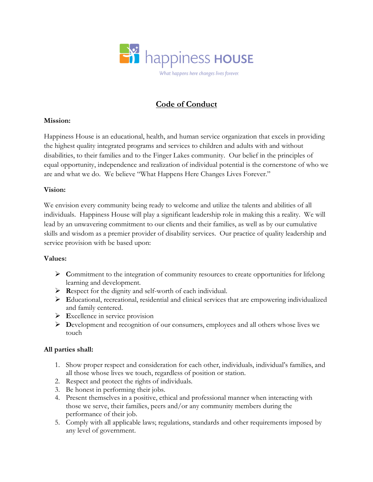

# Code of Conduct

## Mission:

Happiness House is an educational, health, and human service organization that excels in providing the highest quality integrated programs and services to children and adults with and without disabilities, to their families and to the Finger Lakes community. Our belief in the principles of equal opportunity, independence and realization of individual potential is the cornerstone of who we are and what we do. We believe "What Happens Here Changes Lives Forever."

## Vision:

We envision every community being ready to welcome and utilize the talents and abilities of all individuals. Happiness House will play a significant leadership role in making this a reality. We will lead by an unwavering commitment to our clients and their families, as well as by our cumulative skills and wisdom as a premier provider of disability services. Our practice of quality leadership and service provision with be based upon:

#### Values:

- $\triangleright$  Commitment to the integration of community resources to create opportunities for lifelong learning and development.
- $\triangleright$  Respect for the dignity and self-worth of each individual.
- Educational, recreational, residential and clinical services that are empowering individualized and family centered.
- $\triangleright$  Excellence in service provision
- $\triangleright$  Development and recognition of our consumers, employees and all others whose lives we touch

# All parties shall:

- 1. Show proper respect and consideration for each other, individuals, individual's families, and all those whose lives we touch, regardless of position or station.
- 2. Respect and protect the rights of individuals.
- 3. Be honest in performing their jobs.
- 4. Present themselves in a positive, ethical and professional manner when interacting with those we serve, their families, peers and/or any community members during the performance of their job.
- 5. Comply with all applicable laws; regulations, standards and other requirements imposed by any level of government.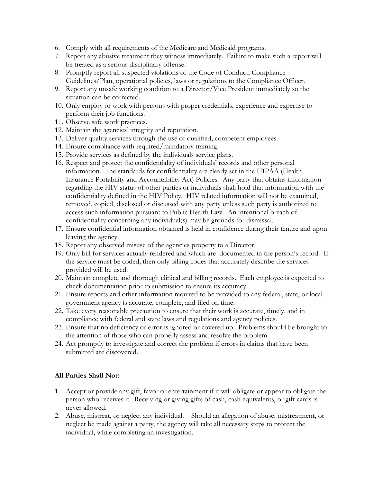- 6. Comply with all requirements of the Medicare and Medicaid programs.
- 7. Report any abusive treatment they witness immediately. Failure to make such a report will be treated as a serious disciplinary offense.
- 8. Promptly report all suspected violations of the Code of Conduct, Compliance Guidelines/Plan, operational policies, laws or regulations to the Compliance Officer.
- 9. Report any unsafe working condition to a Director/Vice President immediately so the situation can be corrected.
- 10. Only employ or work with persons with proper credentials, experience and expertise to perform their job functions.
- 11. Observe safe work practices.
- 12. Maintain the agencies' integrity and reputation.
- 13. Deliver quality services through the use of qualified, competent employees.
- 14. Ensure compliance with required/mandatory training.
- 15. Provide services as defined by the individuals service plans.
- 16. Respect and protect the confidentiality of individuals' records and other personal information. The standards for confidentiality are clearly set in the HIPAA (Health Insurance Portability and Accountability Act) Policies. Any party that obtains information regarding the HIV status of other parties or individuals shall hold that information with the confidentiality defined in the HIV Policy. HIV related information will not be examined, removed, copied, disclosed or discussed with any party unless such party is authorized to access such information pursuant to Public Health Law. An intentional breach of confidentiality concerning any individual(s) may be grounds for dismissal.
- 17. Ensure confidential information obtained is held in confidence during their tenure and upon leaving the agency.
- 18. Report any observed misuse of the agencies property to a Director.
- 19. Only bill for services actually rendered and which are documented in the person's record. If the service must be coded, then only billing codes that accurately describe the services provided will be used.
- 20. Maintain complete and thorough clinical and billing records. Each employee is expected to check documentation prior to submission to ensure its accuracy.
- 21. Ensure reports and other information required to be provided to any federal, state, or local government agency is accurate, complete, and filed on time.
- 22. Take every reasonable precaution to ensure that their work is accurate, timely, and in compliance with federal and state laws and regulations and agency policies.
- 23. Ensure that no deficiency or error is ignored or covered up. Problems should be brought to the attention of those who can properly assess and resolve the problem.
- 24. Act promptly to investigate and correct the problem if errors in claims that have been submitted are discovered.

# All Parties Shall Not:

- 1. Accept or provide any gift, favor or entertainment if it will obligate or appear to obligate the person who receives it. Receiving or giving gifts of cash, cash equivalents, or gift cards is never allowed.
- 2. Abuse, mistreat, or neglect any individual. Should an allegation of abuse, mistreatment, or neglect be made against a party, the agency will take all necessary steps to protect the individual, while completing an investigation.